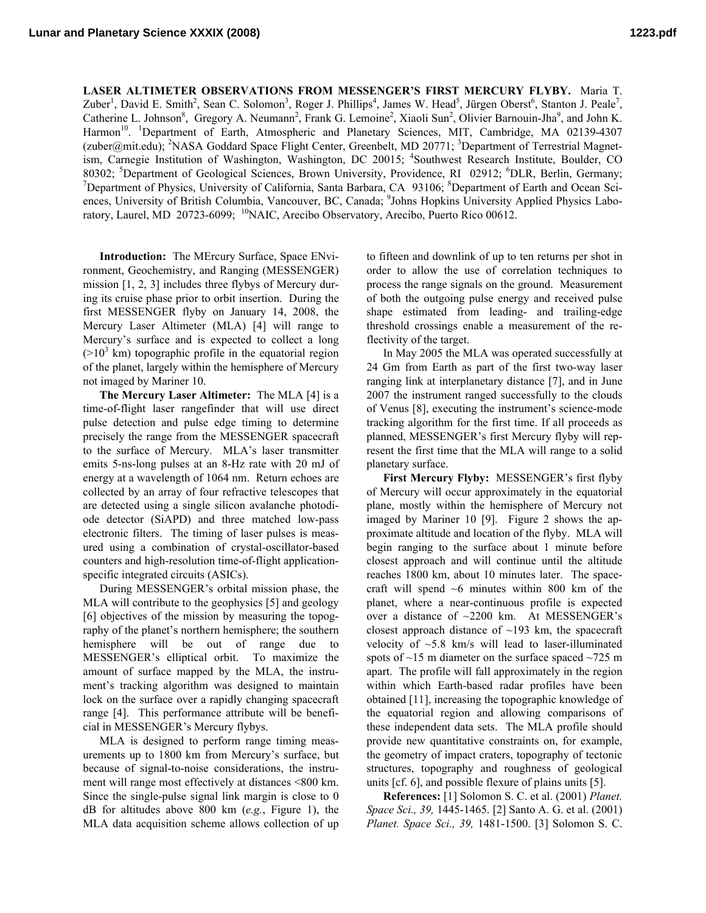**LASER ALTIMETER OBSERVATIONS FROM MESSENGER'S FIRST MERCURY FLYBY.** Maria T. Zuber<sup>1</sup>, David E. Smith<sup>2</sup>, Sean C. Solomon<sup>3</sup>, Roger J. Phillips<sup>4</sup>, James W. Head<sup>5</sup>, Jürgen Oberst<sup>6</sup>, Stanton J. Peale<sup>7</sup>, Catherine L. Johnson<sup>8</sup>, Gregory A. Neumann<sup>2</sup>, Frank G. Lemoine<sup>2</sup>, Xiaoli Sun<sup>2</sup>, Olivier Barnouin-Jha<sup>9</sup>, and John K. Harmon<sup>10</sup>. <sup>1</sup>Department of Earth, Atmospheric and Planetary Sciences, MIT, Cambridge, MA 02139-4307 (zuber@mit.edu); <sup>2</sup>NASA Goddard Space Flight Center, Greenbelt, MD 20771; <sup>3</sup>Department of Terrestrial Magnetism, Carnegie Institution of Washington, Washington, DC 20015; <sup>4</sup>Southwest Research Institute, Boulder, CO 80302; <sup>5</sup>Department of Geological Sciences, Brown University, Providence, RI 02912; <sup>6</sup>DLR, Berlin, Germany;<br><sup>7</sup>Department of Physics, University of California, Santa Berbara, CA, 03106; <sup>8</sup>Department of Farth and Ocean S Department of Physics, University of California, Santa Barbara, CA 93106; <sup>8</sup>Department of Earth and Ocean Sciences, University of British Columbia, Vancouver, BC, Canada; <sup>9</sup>Johns Hopkins University Applied Physics Laboratory, Laurel, MD 20723-6099; <sup>10</sup>NAIC, Arecibo Observatory, Arecibo, Puerto Rico 00612.

**Introduction:** The MErcury Surface, Space ENvironment, Geochemistry, and Ranging (MESSENGER) mission [1, 2, 3] includes three flybys of Mercury during its cruise phase prior to orbit insertion. During the first MESSENGER flyby on January 14, 2008, the Mercury Laser Altimeter (MLA) [4] will range to Mercury's surface and is expected to collect a long  $(>10<sup>3</sup>$  km) topographic profile in the equatorial region of the planet, largely within the hemisphere of Mercury not imaged by Mariner 10.

**The Mercury Laser Altimeter:** The MLA [4] is a time-of-flight laser rangefinder that will use direct pulse detection and pulse edge timing to determine precisely the range from the MESSENGER spacecraft to the surface of Mercury. MLA's laser transmitter emits 5-ns-long pulses at an 8-Hz rate with 20 mJ of energy at a wavelength of 1064 nm. Return echoes are collected by an array of four refractive telescopes that are detected using a single silicon avalanche photodiode detector (SiAPD) and three matched low-pass electronic filters. The timing of laser pulses is measured using a combination of crystal-oscillator-based counters and high-resolution time-of-flight applicationspecific integrated circuits (ASICs).

During MESSENGER's orbital mission phase, the MLA will contribute to the geophysics [5] and geology [6] objectives of the mission by measuring the topography of the planet's northern hemisphere; the southern hemisphere will be out of range due to MESSENGER's elliptical orbit. To maximize the amount of surface mapped by the MLA, the instrument's tracking algorithm was designed to maintain lock on the surface over a rapidly changing spacecraft range [4]. This performance attribute will be beneficial in MESSENGER's Mercury flybys.

MLA is designed to perform range timing measurements up to 1800 km from Mercury's surface, but because of signal-to-noise considerations, the instrument will range most effectively at distances <800 km. Since the single-pulse signal link margin is close to 0 dB for altitudes above 800 km (*e.g.*, Figure 1), the MLA data acquisition scheme allows collection of up to fifteen and downlink of up to ten returns per shot in order to allow the use of correlation techniques to process the range signals on the ground. Measurement of both the outgoing pulse energy and received pulse shape estimated from leading- and trailing-edge threshold crossings enable a measurement of the reflectivity of the target.

In May 2005 the MLA was operated successfully at 24 Gm from Earth as part of the first two-way laser ranging link at interplanetary distance [7], and in June 2007 the instrument ranged successfully to the clouds of Venus [8], executing the instrument's science-mode tracking algorithm for the first time. If all proceeds as planned, MESSENGER's first Mercury flyby will represent the first time that the MLA will range to a solid planetary surface.

**First Mercury Flyby:** MESSENGER's first flyby of Mercury will occur approximately in the equatorial plane, mostly within the hemisphere of Mercury not imaged by Mariner 10 [9]. Figure 2 shows the approximate altitude and location of the flyby. MLA will begin ranging to the surface about 1 minute before closest approach and will continue until the altitude reaches 1800 km, about 10 minutes later. The spacecraft will spend ~6 minutes within 800 km of the planet, where a near-continuous profile is expected over a distance of ~2200 km. At MESSENGER's closest approach distance of  $\sim$ 193 km, the spacecraft velocity of ~5.8 km/s will lead to laser-illuminated spots of  $\sim$ 15 m diameter on the surface spaced  $\sim$ 725 m apart. The profile will fall approximately in the region within which Earth-based radar profiles have been obtained [11], increasing the topographic knowledge of the equatorial region and allowing comparisons of these independent data sets. The MLA profile should provide new quantitative constraints on, for example, the geometry of impact craters, topography of tectonic structures, topography and roughness of geological units [cf. 6], and possible flexure of plains units [5].

**References:** [1] Solomon S. C. et al. (2001) *Planet. Space Sci., 39,* 1445-1465. [2] Santo A. G. et al. (2001) *Planet. Space Sci., 39,* 1481-1500. [3] Solomon S. C.